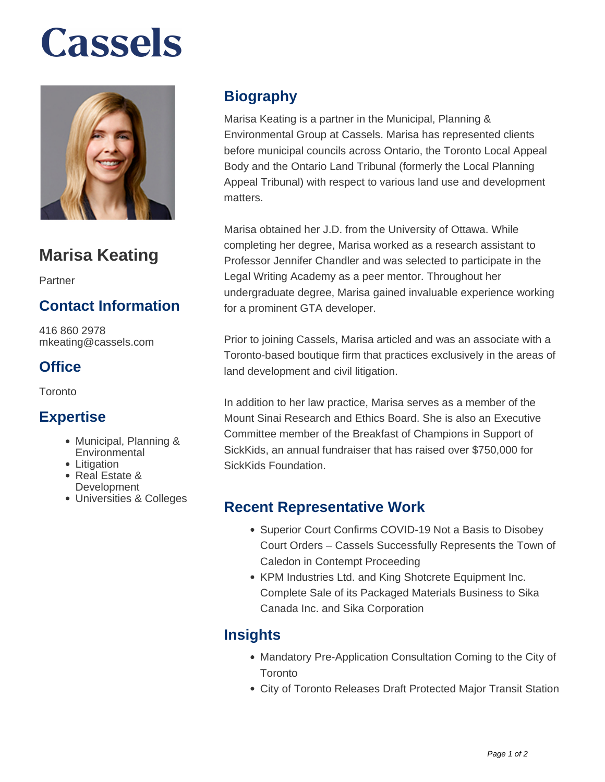# **Cassels**



### **Marisa Keating**

Partner

#### **Contact Information**

416 860 2978 mkeating@cassels.com

#### **Office**

**Toronto** 

#### **Expertise**

- Municipal, Planning & **Environmental**
- Litigation
- Real Estate & **Development**
- Universities & Colleges

#### **Biography**

Marisa Keating is a partner in the Municipal, Planning & Environmental Group at Cassels. Marisa has represented clients before municipal councils across Ontario, the Toronto Local Appeal Body and the Ontario Land Tribunal (formerly the Local Planning Appeal Tribunal) with respect to various land use and development matters.

Marisa obtained her J.D. from the University of Ottawa. While completing her degree, Marisa worked as a research assistant to Professor Jennifer Chandler and was selected to participate in the Legal Writing Academy as a peer mentor. Throughout her undergraduate degree, Marisa gained invaluable experience working for a prominent GTA developer.

Prior to joining Cassels, Marisa articled and was an associate with a Toronto-based boutique firm that practices exclusively in the areas of land development and civil litigation.

In addition to her law practice, Marisa serves as a member of the Mount Sinai Research and Ethics Board. She is also an Executive Committee member of the Breakfast of Champions in Support of SickKids, an annual fundraiser that has raised over \$750,000 for SickKids Foundation.

#### **Recent Representative Work**

- Superior Court Confirms COVID-19 Not a Basis to Disobey Court Orders – Cassels Successfully Represents the Town of Caledon in Contempt Proceeding
- KPM Industries Ltd. and King Shotcrete Equipment Inc. Complete Sale of its Packaged Materials Business to Sika Canada Inc. and Sika Corporation

#### **Insights**

- Mandatory Pre-Application Consultation Coming to the City of **Toronto**
- City of Toronto Releases Draft Protected Major Transit Station